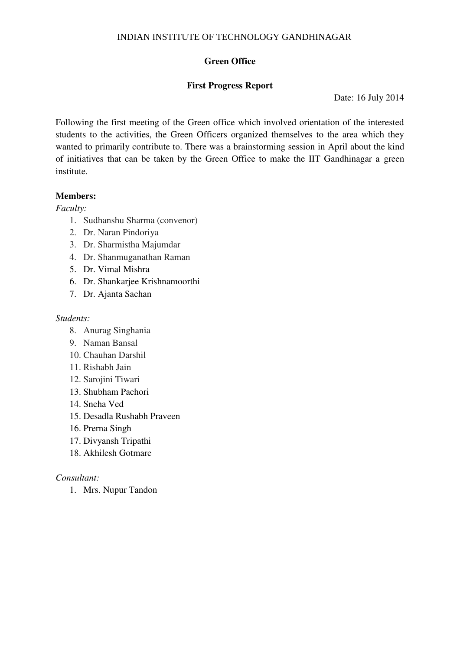# **Green Office**

# **First Progress Report**

Date: 16 July 2014

Following the first meeting of the Green office which involved orientation of the interested students to the activities, the Green Officers organized themselves to the area which they wanted to primarily contribute to. There was a brainstorming session in April about the kind of initiatives that can be taken by the Green Office to make the IIT Gandhinagar a green institute.

# **Members:**

*Faculty:* 

- 1. Sudhanshu Sharma (convenor)
- 2. Dr. Naran Pindoriya
- 3. Dr. Sharmistha Majumdar
- 4. Dr. Shanmuganathan Raman
- 5. Dr. Vimal Mishra
- 6. Dr. Shankarjee Krishnamoorthi
- 7. Dr. Ajanta Sachan

### *Students:*

- 8. Anurag Singhania
- 9. Naman Bansal
- 10. Chauhan Darshil
- 11. Rishabh Jain
- 12. Sarojini Tiwari
- 13. Shubham Pachori
- 14. Sneha Ved
- 15. Desadla Rushabh Praveen
- 16. Prerna Singh
- 17. Divyansh Tripathi
- 18. Akhilesh Gotmare

### *Consultant:*

1. Mrs. Nupur Tandon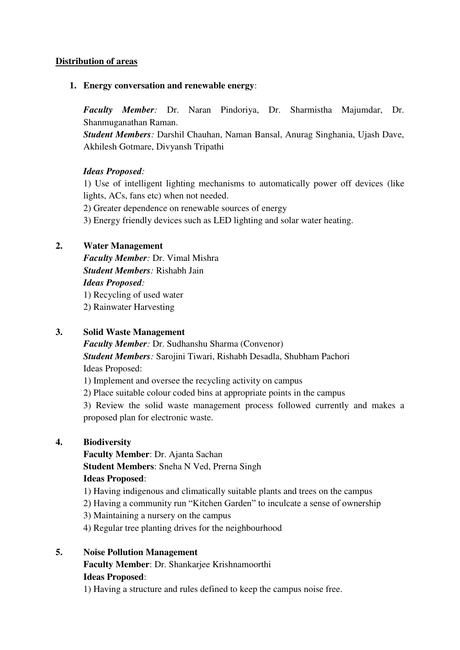### **Distribution of areas**

### **1. Energy conversation and renewable energy**:

*Faculty Member:* Dr. Naran Pindoriya, Dr. Sharmistha Majumdar, Dr. Shanmuganathan Raman.

*Student Members:* Darshil Chauhan, Naman Bansal, Anurag Singhania, Ujash Dave, Akhilesh Gotmare, Divyansh Tripathi

### *Ideas Proposed:*

1) Use of intelligent lighting mechanisms to automatically power off devices (like lights, ACs, fans etc) when not needed.

2) Greater dependence on renewable sources of energy

3) Energy friendly devices such as LED lighting and solar water heating.

### **2. Water Management**

*Faculty Member:* Dr. Vimal Mishra *Student Members:* Rishabh Jain *Ideas Proposed:*  1) Recycling of used water 2) Rainwater Harvesting

#### **3. Solid Waste Management**

*Faculty Member:* Dr. Sudhanshu Sharma (Convenor) *Student Members:* Sarojini Tiwari, Rishabh Desadla, Shubham Pachori Ideas Proposed:

1) Implement and oversee the recycling activity on campus

2) Place suitable colour coded bins at appropriate points in the campus

3) Review the solid waste management process followed currently and makes a proposed plan for electronic waste.

#### **4. Biodiversity**

**Faculty Member**: Dr. Ajanta Sachan **Student Members**: Sneha N Ved, Prerna Singh **Ideas Proposed**:

- 1) Having indigenous and climatically suitable plants and trees on the campus
- 2) Having a community run "Kitchen Garden" to inculcate a sense of ownership
- 3) Maintaining a nursery on the campus
- 4) Regular tree planting drives for the neighbourhood
- **5. Noise Pollution Management Faculty Member**: Dr. Shankarjee Krishnamoorthi

### **Ideas Proposed**:

1) Having a structure and rules defined to keep the campus noise free.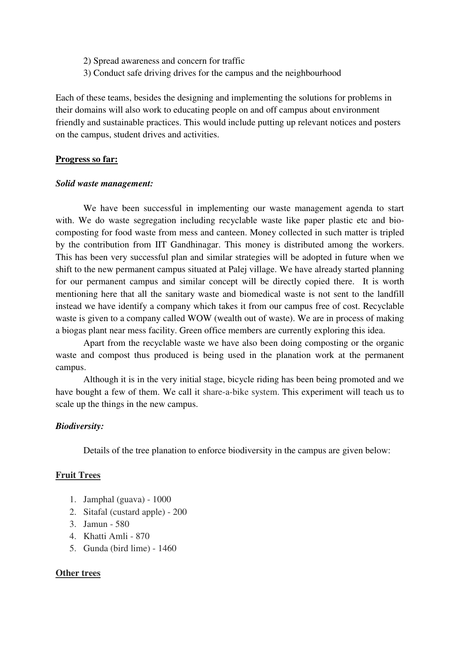- 2) Spread awareness and concern for traffic
- 3) Conduct safe driving drives for the campus and the neighbourhood

Each of these teams, besides the designing and implementing the solutions for problems in their domains will also work to educating people on and off campus about environment friendly and sustainable practices. This would include putting up relevant notices and posters on the campus, student drives and activities.

#### **Progress so far:**

#### *Solid waste management:*

We have been successful in implementing our waste management agenda to start with. We do waste segregation including recyclable waste like paper plastic etc and biocomposting for food waste from mess and canteen. Money collected in such matter is tripled by the contribution from IIT Gandhinagar. This money is distributed among the workers. This has been very successful plan and similar strategies will be adopted in future when we shift to the new permanent campus situated at Palej village. We have already started planning for our permanent campus and similar concept will be directly copied there. It is worth mentioning here that all the sanitary waste and biomedical waste is not sent to the landfill instead we have identify a company which takes it from our campus free of cost. Recyclable waste is given to a company called WOW (wealth out of waste). We are in process of making a biogas plant near mess facility. Green office members are currently exploring this idea.

Apart from the recyclable waste we have also been doing composting or the organic waste and compost thus produced is being used in the planation work at the permanent campus.

Although it is in the very initial stage, bicycle riding has been being promoted and we have bought a few of them. We call it share-a-bike system. This experiment will teach us to scale up the things in the new campus.

#### *Biodiversity:*

Details of the tree planation to enforce biodiversity in the campus are given below:

#### **Fruit Trees**

- 1. Jamphal (guava) 1000
- 2. Sitafal (custard apple) 200
- 3. Jamun 580
- 4. Khatti Amli 870
- 5. Gunda (bird lime) 1460

#### **Other trees**